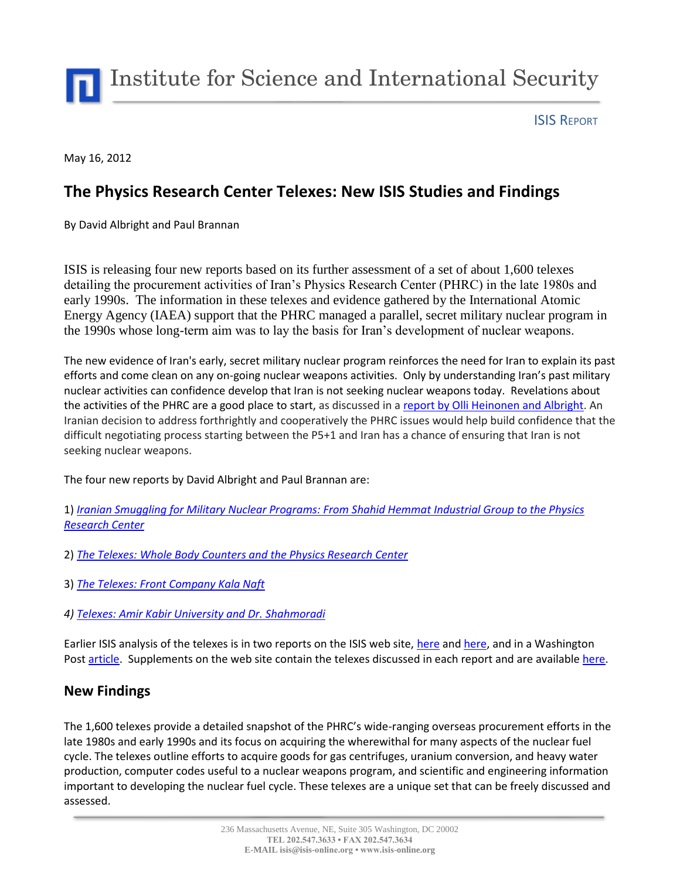Institute for Science and International Security

ISIS REPORT

May 16, 2012

# **The Physics Research Center Telexes: New ISIS Studies and Findings**

By David Albright and Paul Brannan

ISIS is releasing four new reports based on its further assessment of a set of about 1,600 telexes detailing the procurement activities of Iran's Physics Research Center (PHRC) in the late 1980s and early 1990s. The information in these telexes and evidence gathered by the International Atomic Energy Agency (IAEA) support that the PHRC managed a parallel, secret military nuclear program in the 1990s whose long-term aim was to lay the basis for Iran's development of nuclear weapons.

The new evidence of Iran's early, secret military nuclear program reinforces the need for Iran to explain its past efforts and come clean on any on-going nuclear weapons activities. Only by understanding Iran's past military nuclear activities can confidence develop that Iran is not seeking nuclear weapons today. Revelations about the activities of the PHRC are a good place to start, as discussed in a [report by Olli Heinonen and Albright.](http://isis-online.org/isis-reports/detail/opening-the-door-to-a-solution-with-iran/) An Iranian decision to address forthrightly and cooperatively the PHRC issues would help build confidence that the difficult negotiating process starting between the P5+1 and Iran has a chance of ensuring that Iran is not seeking nuclear weapons.

The four new reports by David Albright and Paul Brannan are:

1) *[Iranian Smuggling for Military Nuclear Programs: From Shahid Hemmat Industrial Group to the Physics](http://isis-online.org/uploads/isis-reports/documents/ALKH_analysis_16May2012.pdf)  [Research Center](http://isis-online.org/uploads/isis-reports/documents/ALKH_analysis_16May2012.pdf)*

- 2) *[The Telexes: Whole Body Counters and the Physics Research Center](http://isis-online.org/isis-reports/detail/the-telexes-whole-body-counters-and-the-physics-research-center/8)*
- 3) *[The Telexes: Front Company Kala Naft](http://isis-online.org/isis-reports/detail/telexes-front-company-kala-naft/8)*
- *4) [Telexes: Amir Kabir University and Dr. Shahmoradi](http://isis-online.org/isis-reports/detail/telexes-amir-kabir-university-and-dr.-shahmoradi/8)*

Earlier ISIS analysis of the telexes is in two reports on the ISIS web site, [here](http://isis-online.org/uploads/isis-reports/documents/Dept_70_and_PHRC_19March2012.pdf) an[d here,](http://isis-online.org/uploads/isis-reports/documents/PHRC_report_23February2012.pdf) and in a Washington Pos[t article.](http://www.washingtonpost.com/world/national-security/formerly-secret-telexes-offer-window-into-irans-nuclear-deceit/2012/02/11/gIQAOiBlTR_story.html) Supplements on the web site contain the telexes discussed in each report and are availabl[e here.](http://isis-online.org/phrc)

### **New Findings**

The 1,600 telexes provide a detailed snapshot of the PHRC's wide-ranging overseas procurement efforts in the late 1980s and early 1990s and its focus on acquiring the wherewithal for many aspects of the nuclear fuel cycle. The telexes outline efforts to acquire goods for gas centrifuges, uranium conversion, and heavy water production, computer codes useful to a nuclear weapons program, and scientific and engineering information important to developing the nuclear fuel cycle. These telexes are a unique set that can be freely discussed and assessed.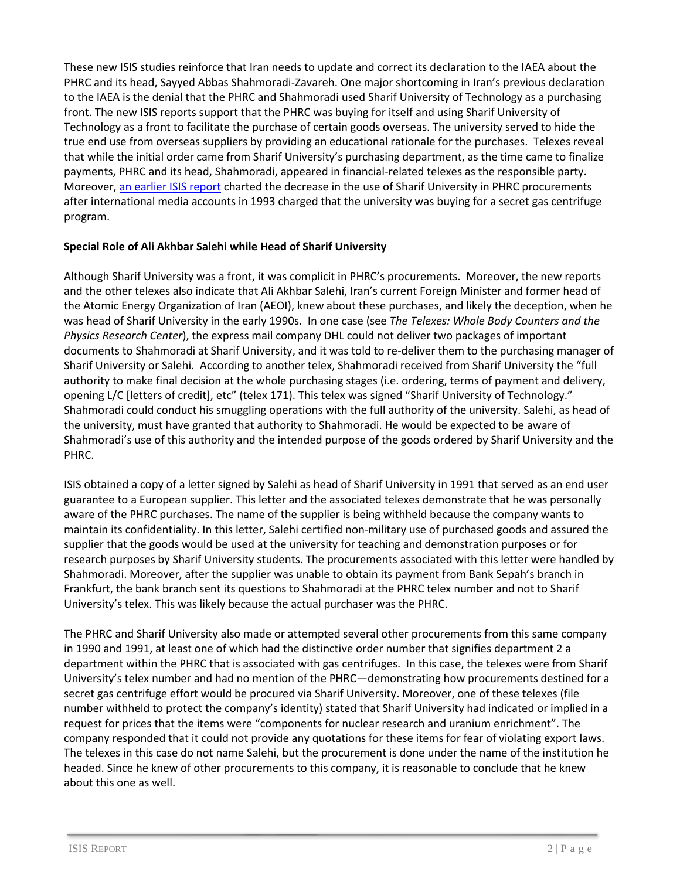These new ISIS studies reinforce that Iran needs to update and correct its declaration to the IAEA about the PHRC and its head, Sayyed Abbas Shahmoradi-Zavareh. One major shortcoming in Iran's previous declaration to the IAEA is the denial that the PHRC and Shahmoradi used Sharif University of Technology as a purchasing front. The new ISIS reports support that the PHRC was buying for itself and using Sharif University of Technology as a front to facilitate the purchase of certain goods overseas. The university served to hide the true end use from overseas suppliers by providing an educational rationale for the purchases. Telexes reveal that while the initial order came from Sharif University's purchasing department, as the time came to finalize payments, PHRC and its head, Shahmoradi, appeared in financial-related telexes as the responsible party. Moreover[, an earlier ISIS report](http://isis-online.org/uploads/isis-reports/documents/PHRC_report_23February2012.pdf) charted the decrease in the use of Sharif University in PHRC procurements after international media accounts in 1993 charged that the university was buying for a secret gas centrifuge program.

#### **Special Role of Ali Akhbar Salehi while Head of Sharif University**

Although Sharif University was a front, it was complicit in PHRC's procurements. Moreover, the new reports and the other telexes also indicate that Ali Akhbar Salehi, Iran's current Foreign Minister and former head of the Atomic Energy Organization of Iran (AEOI), knew about these purchases, and likely the deception, when he was head of Sharif University in the early 1990s. In one case (see *The Telexes: Whole Body Counters and the Physics Research Center*), the express mail company DHL could not deliver two packages of important documents to Shahmoradi at Sharif University, and it was told to re-deliver them to the purchasing manager of Sharif University or Salehi. According to another telex, Shahmoradi received from Sharif University the "full authority to make final decision at the whole purchasing stages (i.e. ordering, terms of payment and delivery, opening L/C [letters of credit], etc" (telex 171). This telex was signed "Sharif University of Technology." Shahmoradi could conduct his smuggling operations with the full authority of the university. Salehi, as head of the university, must have granted that authority to Shahmoradi. He would be expected to be aware of Shahmoradi's use of this authority and the intended purpose of the goods ordered by Sharif University and the PHRC.

ISIS obtained a copy of a letter signed by Salehi as head of Sharif University in 1991 that served as an end user guarantee to a European supplier. This letter and the associated telexes demonstrate that he was personally aware of the PHRC purchases. The name of the supplier is being withheld because the company wants to maintain its confidentiality. In this letter, Salehi certified non-military use of purchased goods and assured the supplier that the goods would be used at the university for teaching and demonstration purposes or for research purposes by Sharif University students. The procurements associated with this letter were handled by Shahmoradi. Moreover, after the supplier was unable to obtain its payment from Bank Sepah's branch in Frankfurt, the bank branch sent its questions to Shahmoradi at the PHRC telex number and not to Sharif University's telex. This was likely because the actual purchaser was the PHRC.

The PHRC and Sharif University also made or attempted several other procurements from this same company in 1990 and 1991, at least one of which had the distinctive order number that signifies department 2 a department within the PHRC that is associated with gas centrifuges. In this case, the telexes were from Sharif University's telex number and had no mention of the PHRC—demonstrating how procurements destined for a secret gas centrifuge effort would be procured via Sharif University. Moreover, one of these telexes (file number withheld to protect the company's identity) stated that Sharif University had indicated or implied in a request for prices that the items were "components for nuclear research and uranium enrichment". The company responded that it could not provide any quotations for these items for fear of violating export laws. The telexes in this case do not name Salehi, but the procurement is done under the name of the institution he headed. Since he knew of other procurements to this company, it is reasonable to conclude that he knew about this one as well.